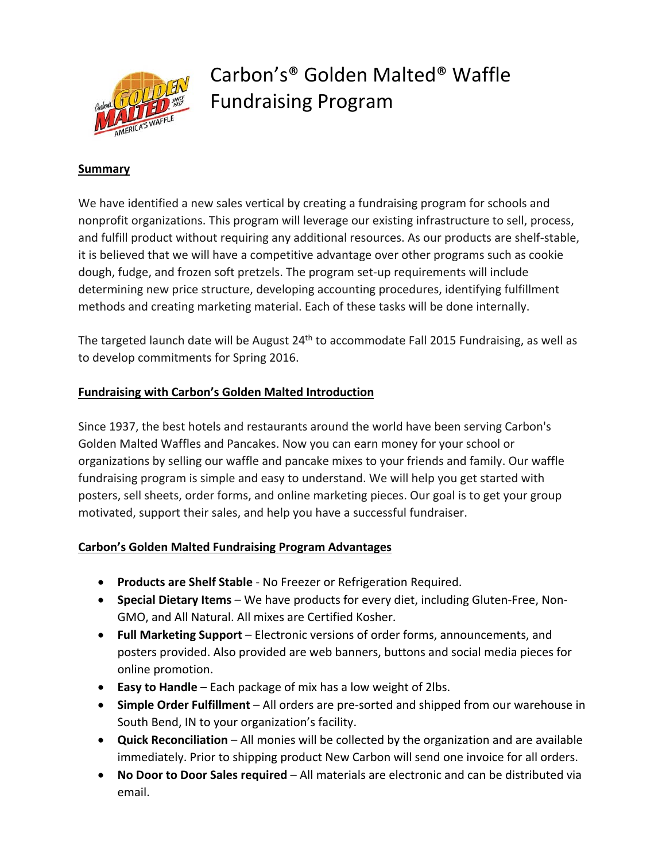

# Carbon's® Golden Malted® Waffle Fundraising Program

## **Summary**

We have identified a new sales vertical by creating a fundraising program for schools and nonprofit organizations. This program will leverage our existing infrastructure to sell, process, and fulfill product without requiring any additional resources. As our products are shelf‐stable, it is believed that we will have a competitive advantage over other programs such as cookie dough, fudge, and frozen soft pretzels. The program set‐up requirements will include determining new price structure, developing accounting procedures, identifying fulfillment methods and creating marketing material. Each of these tasks will be done internally.

The targeted launch date will be August 24<sup>th</sup> to accommodate Fall 2015 Fundraising, as well as to develop commitments for Spring 2016.

## **Fundraising with Carbon's Golden Malted Introduction**

Since 1937, the best hotels and restaurants around the world have been serving Carbon's Golden Malted Waffles and Pancakes. Now you can earn money for your school or organizations by selling our waffle and pancake mixes to your friends and family. Our waffle fundraising program is simple and easy to understand. We will help you get started with posters, sell sheets, order forms, and online marketing pieces. Our goal is to get your group motivated, support their sales, and help you have a successful fundraiser.

#### **Carbon's Golden Malted Fundraising Program Advantages**

- **Products are Shelf Stable** ‐ No Freezer or Refrigeration Required.
- **Special Dietary Items** We have products for every diet, including Gluten‐Free, Non‐ GMO, and All Natural. All mixes are Certified Kosher.
- **Full Marketing Support** Electronic versions of order forms, announcements, and posters provided. Also provided are web banners, buttons and social media pieces for online promotion.
- **Easy to Handle** Each package of mix has a low weight of 2lbs.
- **Simple Order Fulfillment** All orders are pre‐sorted and shipped from our warehouse in South Bend, IN to your organization's facility.
- **Quick Reconciliation** All monies will be collected by the organization and are available immediately. Prior to shipping product New Carbon will send one invoice for all orders.
- **No Door to Door Sales required** All materials are electronic and can be distributed via email.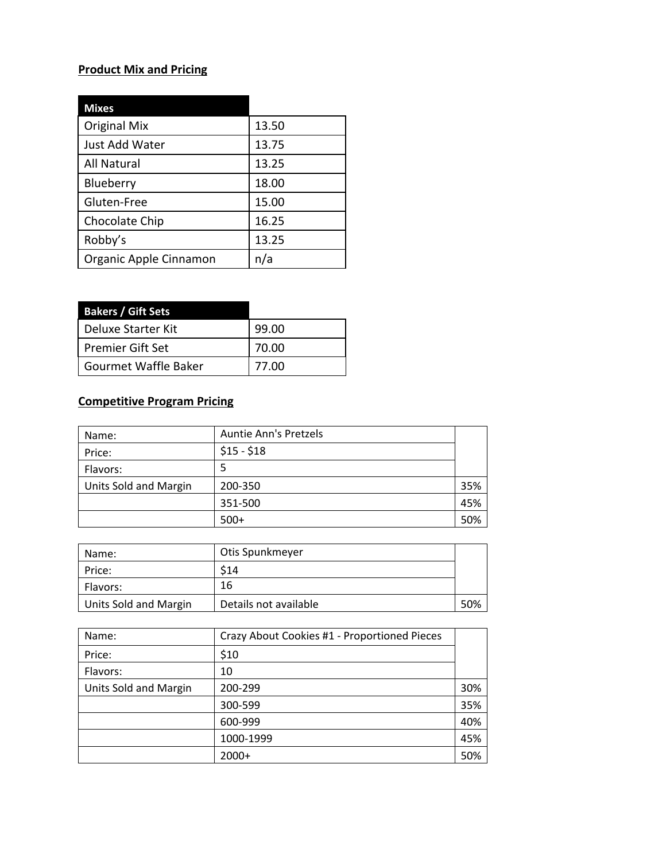# **Product Mix and Pricing**

| <b>Mixes</b>           |       |
|------------------------|-------|
| <b>Original Mix</b>    | 13.50 |
| Just Add Water         | 13.75 |
| <b>All Natural</b>     | 13.25 |
| Blueberry              | 18.00 |
| Gluten-Free            | 15.00 |
| Chocolate Chip         | 16.25 |
| Robby's                | 13.25 |
| Organic Apple Cinnamon | n/a   |

| <b>Bakers / Gift Sets</b> |       |
|---------------------------|-------|
| l Deluxe Starter Kit      | 99.00 |
| Premier Gift Set          | 70.00 |
| Gourmet Waffle Baker      | 77.00 |

# **Competitive Program Pricing**

| Name:                 | <b>Auntie Ann's Pretzels</b> |     |
|-----------------------|------------------------------|-----|
| Price:                | $$15 - $18$                  |     |
| Flavors:              | 5                            |     |
| Units Sold and Margin | 200-350                      | 35% |
|                       | 351-500                      | 45% |
|                       | $500+$                       | 50% |

| Name:                 | Otis Spunkmeyer       |     |
|-----------------------|-----------------------|-----|
| Price:                | S14                   |     |
| Flavors:              | 16                    |     |
| Units Sold and Margin | Details not available | 50% |

| Name:                 | Crazy About Cookies #1 - Proportioned Pieces |     |
|-----------------------|----------------------------------------------|-----|
| Price:                | \$10                                         |     |
| Flavors:              | 10                                           |     |
| Units Sold and Margin | 200-299                                      | 30% |
|                       | 300-599                                      | 35% |
|                       | 600-999                                      | 40% |
|                       | 1000-1999                                    | 45% |
|                       | $2000+$                                      | 50% |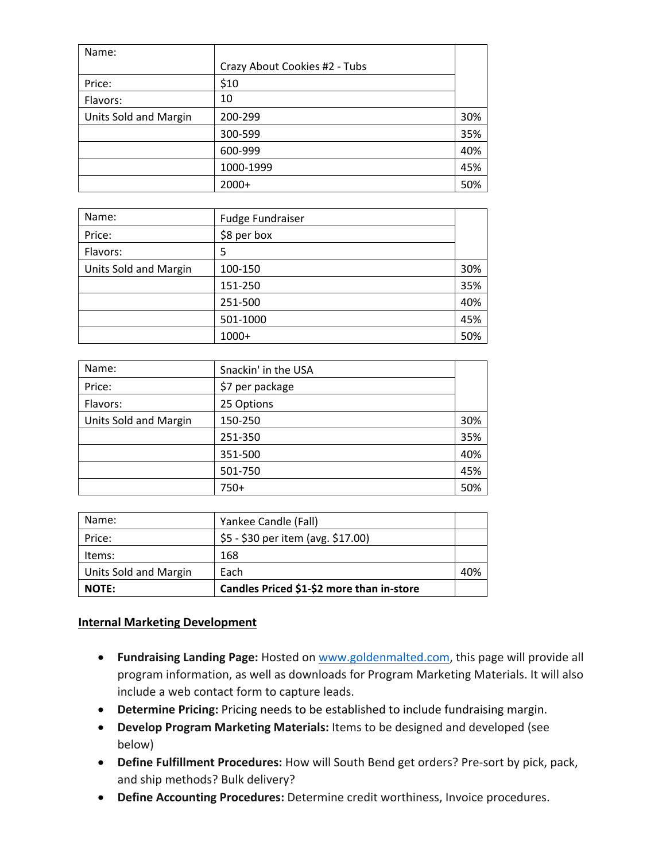| Name:                 |                               |     |
|-----------------------|-------------------------------|-----|
|                       | Crazy About Cookies #2 - Tubs |     |
| Price:                | \$10                          |     |
| Flavors:              | 10                            |     |
| Units Sold and Margin | 200-299                       | 30% |
|                       | 300-599                       | 35% |
|                       | 600-999                       | 40% |
|                       | 1000-1999                     | 45% |
|                       | $2000+$                       | 50% |

| Name:                 | <b>Fudge Fundraiser</b> |     |
|-----------------------|-------------------------|-----|
| Price:                | \$8 per box             |     |
| Flavors:              | 5                       |     |
| Units Sold and Margin | 100-150                 | 30% |
|                       | 151-250                 | 35% |
|                       | 251-500                 | 40% |
|                       | 501-1000                | 45% |
|                       | 1000+                   | 50% |

| Name:                 | Snackin' in the USA |     |
|-----------------------|---------------------|-----|
| Price:                | \$7 per package     |     |
| Flavors:              | 25 Options          |     |
| Units Sold and Margin | 150-250             | 30% |
|                       | 251-350             | 35% |
|                       | 351-500             | 40% |
|                       | 501-750             | 45% |
|                       | $750+$              | 50% |

| <b>NOTE:</b>                 | Candles Priced \$1-\$2 more than in-store |     |
|------------------------------|-------------------------------------------|-----|
| <b>Units Sold and Margin</b> | Each                                      | 40% |
| Items:                       | 168                                       |     |
| Price:                       | \$5 - \$30 per item (avg. \$17.00)        |     |
| Name:                        | Yankee Candle (Fall)                      |     |

## **Internal Marketing Development**

- **Fundraising Landing Page:** Hosted on www.goldenmalted.com, this page will provide all program information, as well as downloads for Program Marketing Materials. It will also include a web contact form to capture leads.
- **Determine Pricing:** Pricing needs to be established to include fundraising margin.
- **Develop Program Marketing Materials:** Items to be designed and developed (see below)
- **Define Fulfillment Procedures:** How will South Bend get orders? Pre‐sort by pick, pack, and ship methods? Bulk delivery?
- **Define Accounting Procedures:** Determine credit worthiness, Invoice procedures.